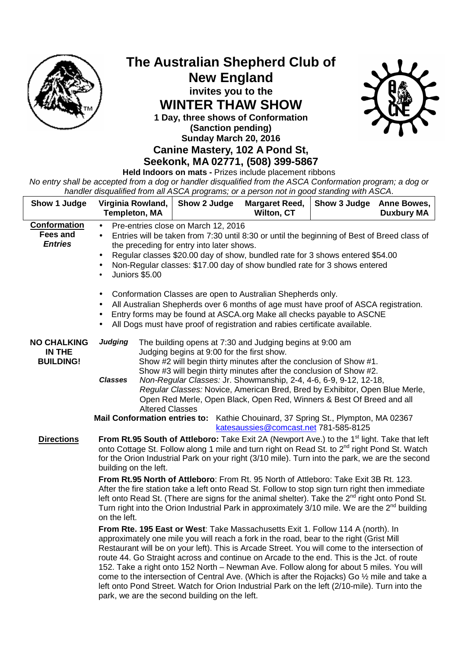

## **The Australian Shepherd Club of New England invites you to the WINTER THAW SHOW 1 Day, three shows of Conformation (Sanction pending)**



## **Sunday March 20, 2016 Canine Mastery, 102 A Pond St,**

**Seekonk, MA 02771, (508) 399-5867 Held Indoors on mats -** Prizes include placement ribbons

No entry shall be accepted from a dog or handler disqualified from the ASCA Conformation program; a dog or handler disqualified from all ASCA programs; or a person not in good standing with ASCA.

| Show 1 Judge                                      | Virginia Rowland,<br><b>Templeton, MA</b>                                                                                                                                                                                                                                                                                                                                                                                                                                                                                                                                                                                                                                                                             | Show 2 Judge                               | <b>Margaret Reed,</b><br>Wilton, CT                                                                                                                                                                                                                                                                                                                                                                                               | Show 3 Judge | <b>Anne Bowes,</b><br><b>Duxbury MA</b> |
|---------------------------------------------------|-----------------------------------------------------------------------------------------------------------------------------------------------------------------------------------------------------------------------------------------------------------------------------------------------------------------------------------------------------------------------------------------------------------------------------------------------------------------------------------------------------------------------------------------------------------------------------------------------------------------------------------------------------------------------------------------------------------------------|--------------------------------------------|-----------------------------------------------------------------------------------------------------------------------------------------------------------------------------------------------------------------------------------------------------------------------------------------------------------------------------------------------------------------------------------------------------------------------------------|--------------|-----------------------------------------|
| Conformation<br><b>Fees and</b><br><b>Entries</b> | Pre-entries close on March 12, 2016<br>$\bullet$<br>Entries will be taken from 7:30 until 8:30 or until the beginning of Best of Breed class of<br>$\bullet$<br>the preceding for entry into later shows.<br>Regular classes \$20.00 day of show, bundled rate for 3 shows entered \$54.00<br>$\bullet$<br>Non-Regular classes: \$17.00 day of show bundled rate for 3 shows entered<br>$\bullet$<br>Juniors \$5.00<br>Conformation Classes are open to Australian Shepherds only.<br>$\bullet$<br>All Australian Shepherds over 6 months of age must have proof of ASCA registration.                                                                                                                                |                                            |                                                                                                                                                                                                                                                                                                                                                                                                                                   |              |                                         |
|                                                   |                                                                                                                                                                                                                                                                                                                                                                                                                                                                                                                                                                                                                                                                                                                       |                                            | Entry forms may be found at ASCA.org Make all checks payable to ASCNE<br>All Dogs must have proof of registration and rabies certificate available.                                                                                                                                                                                                                                                                               |              |                                         |
| <b>NO CHALKING</b><br>IN THE<br><b>BUILDING!</b>  | <b>Judging</b><br><b>Classes</b><br><b>Altered Classes</b>                                                                                                                                                                                                                                                                                                                                                                                                                                                                                                                                                                                                                                                            | Judging begins at 9:00 for the first show. | The building opens at 7:30 and Judging begins at 9:00 am<br>Show #2 will begin thirty minutes after the conclusion of Show #1.<br>Show #3 will begin thirty minutes after the conclusion of Show #2.<br>Non-Regular Classes: Jr. Showmanship, 2-4, 4-6, 6-9, 9-12, 12-18,<br>Regular Classes: Novice, American Bred, Bred by Exhibitor, Open Blue Merle,<br>Open Red Merle, Open Black, Open Red, Winners & Best Of Breed and all |              |                                         |
|                                                   | <b>Mail Conformation entries to:</b>                                                                                                                                                                                                                                                                                                                                                                                                                                                                                                                                                                                                                                                                                  |                                            | Kathie Chouinard, 37 Spring St., Plympton, MA 02367                                                                                                                                                                                                                                                                                                                                                                               |              |                                         |
| <b>Directions</b>                                 | katesaussies@comcast.net 781-585-8125<br>From Rt.95 South of Attleboro: Take Exit 2A (Newport Ave.) to the 1 <sup>st</sup> light. Take that left<br>onto Cottage St. Follow along 1 mile and turn right on Read St. to 2 <sup>nd</sup> right Pond St. Watch<br>for the Orion Industrial Park on your right (3/10 mile). Turn into the park, we are the second<br>building on the left.                                                                                                                                                                                                                                                                                                                                |                                            |                                                                                                                                                                                                                                                                                                                                                                                                                                   |              |                                         |
|                                                   | From Rt.95 North of Attleboro: From Rt. 95 North of Attleboro: Take Exit 3B Rt. 123.<br>After the fire station take a left onto Read St. Follow to stop sign turn right then immediate<br>left onto Read St. (There are signs for the animal shelter). Take the 2 <sup>nd</sup> right onto Pond St.<br>Turn right into the Orion Industrial Park in approximately 3/10 mile. We are the $2^{nd}$ building<br>on the left.                                                                                                                                                                                                                                                                                             |                                            |                                                                                                                                                                                                                                                                                                                                                                                                                                   |              |                                         |
|                                                   | From Rte. 195 East or West: Take Massachusetts Exit 1. Follow 114 A (north). In<br>approximately one mile you will reach a fork in the road, bear to the right (Grist Mill<br>Restaurant will be on your left). This is Arcade Street. You will come to the intersection of<br>route 44. Go Straight across and continue on Arcade to the end. This is the Jct. of route<br>152. Take a right onto 152 North - Newman Ave. Follow along for about 5 miles. You will<br>come to the intersection of Central Ave. (Which is after the Rojacks) Go 1/2 mile and take a<br>left onto Pond Street. Watch for Orion Industrial Park on the left (2/10-mile). Turn into the<br>park, we are the second building on the left. |                                            |                                                                                                                                                                                                                                                                                                                                                                                                                                   |              |                                         |